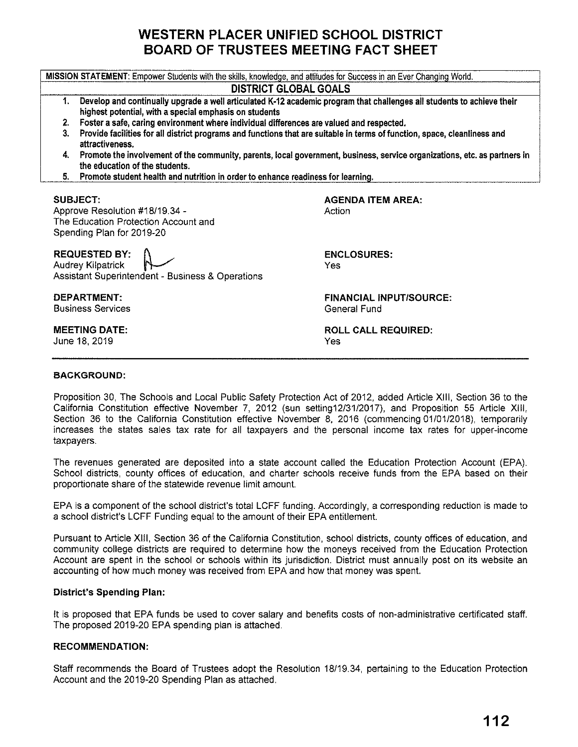# **WESTERN PLACER UNIFIED SCHOOL DISTRICT BOARD OF TRUSTEES MEETING FACT SHEET**

**MISSION STATEMENT:** Empower Students with the skills, knowledge, and attitudes for Success in an Ever Changing World.

# **DISTRICT GLOBAL GOALS**

- **1. Develop and continually upgrade a well articulated K-12 academic program that challenges all students to achieve their highest potential, with a special emphasis on students**
- **2. Foster a safe, caring environment where individual differences are valued and respected.**
- **3. Provide facilities for all district programs and functions that are suitable** in **terms of function, space, cleanliness and attractiveness.**
- **4. Promote the involvement of the community, parents, local government, business, service organizations, etc. as partners** in **the education of the students.**
- **5. Promote student health and nutrition** in **order to enhance readiness for learning,**

#### **SUBJECT:**

Approve Resolution #18/19.34 - The Education Protection Account and Spending Plan for 2019-20

**REQUESTED BY:** (\ , Audrey Kilpatrick Assistant Superintendent - Business & Operations

**DEPARTMENT:**  Business Services

**MEETING DATE:**  June 18, 2019

**AGENDA ITEM AREA: Action** 

**ENCLOSURES:**  Yes

**FINANCIAL INPUT/SOURCE:**  General Fund

**ROLL CALL REQUIRED:**  Yes

### **BACKGROUND:**

Proposition 30, The Schools and Local Public Safety Protection Act of 2012, added Article **XIII,** Section 36 to the California Constitution effective November 7, 2012 (sun setting12/31/2017), and Proposition 55 Article **XIII,**  Section 36 to the California Constitution effective November 8, 2016 (commencing 01/01/2018), temporarily increases the states sales tax rate for all taxpayers and the personal income tax rates for upper-income taxpayers.

The revenues generated are deposited into a state account called the Education Protection Account (EPA). School districts, county offices of education, and charter schools receive funds from the EPA based on their proportionate share of the statewide revenue limit amount.

EPA is a component of the school district's total LCFF funding. Accordingly, a corresponding reduction is made to a school district's LCFF Funding equal to the amount of their EPA entitlement.

Pursuant to Article **XIII,** Section 36 of the California Constitution, school districts, county offices of education, and community college districts are required to determine how the moneys received from the Education Protection Account are spent in the school or schools within its jurisdiction. District must annually post on its website an accounting of how much money was received from EPA and how that money was spent.

### **District's Spending Plan:**

It is proposed that EPA funds be used to cover salary and benefits costs of non-administrative certificated staff. The proposed 2019-20 EPA spending plan is attached.

### **RECOMMENDATION:**

Staff recommends the Board of Trustees adopt the Resolution 18/19.34, pertaining to the Education Protection Account and the 2019-20 Spending Plan as attached.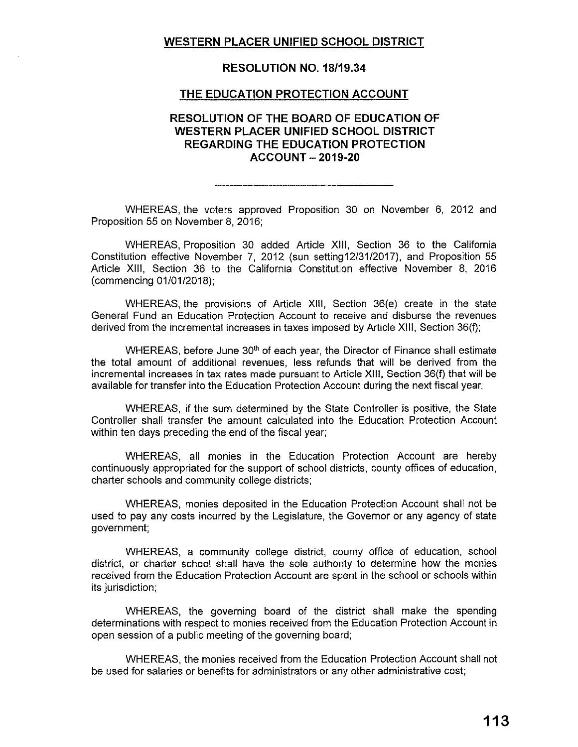# **WESTERN PLACER UNIFIED SCHOOL DISTRICT**

### **RESOLUTION NO. 18/19.34**

#### **THE EDUCATION PROTECTION ACCOUNT**

### **RESOLUTION OF THE BOARD OF EDUCATION OF WESTERN PLACER UNIFIED SCHOOL DISTRICT REGARDING THE EDUCATION PROTECTION ACCOUNT - 2019-20**

WHEREAS, the voters approved Proposition 30 on November 6, 2012 and Proposition 55 on November 8, 2016;

WHEREAS, Proposition 30 added Article **XIII,** Section 36 to the California Constitution effective November 7, 2012 (sun setting12/31/2017), and Proposition 55 Article **XIII,** Section 36 to the California Constitution effective November 8, 2016 (commencing 01/01/2018);

WHEREAS, the provisions of Article **XIII,** Section 36(e) create in the state General Fund an Education Protection Account to receive and disburse the revenues derived from the incremental increases in taxes imposed by Article XIII, Section 36(f);

WHEREAS, before June 30<sup>th</sup> of each year, the Director of Finance shall estimate the total amount of additional revenues, less refunds that will be derived from the incremental increases in tax rates made pursuant to Article XIII, Section 36(f) that will be available for transfer into the Education Protection Account during the next fiscal year;

WHEREAS, if the sum determined by the State Controller is positive, the State Controller shall transfer the amount calculated into the Education Protection Account within ten days preceding the end of the fiscal year;

WHEREAS, all monies in the Education Protection Account are hereby continuously appropriated for the support of school districts, county offices of education, charter schools and community college districts;

WHEREAS, monies deposited in the Education Protection Account shall not be used to pay any costs incurred by the Legislature, the Governor or any agency of state government;

WHEREAS, a community college district, county office of education, school district, or charter school shall have the sole authority to determine how the monies received from the Education Protection Account are spent in the school or schools within its jurisdiction;

WHEREAS, the governing board of the district shall make the spending determinations with respect to monies received from the Education Protection Account in open session of a public meeting of the governing board;

WHEREAS, the monies received from the Education Protection Account shall not be used for salaries or benefits for administrators or any other administrative cost;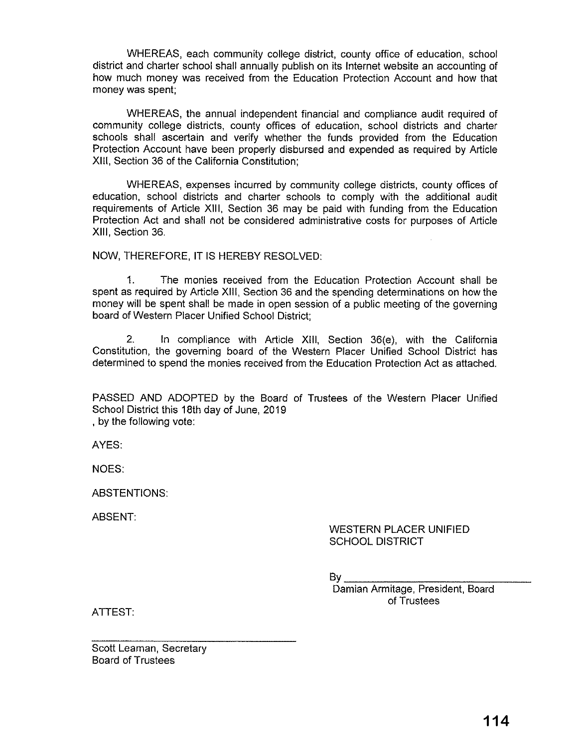WHEREAS, each community college district, county office of education, school district and charter school shall annually publish on its Internet website an accounting of how much money was received from the Education Protection Account and how that money was spent;

WHEREAS, the annual independent financial and compliance audit required of community college districts, county offices of education, school districts and charter schools shall ascertain and verify whether the funds provided from the Education Protection Account have been properly disbursed and expended as required by Article **XIII,** Section 36 of the California Constitution;

WHEREAS, expenses incurred by community college districts, county offices of education, school districts and charter schools to comply with the additional audit requirements of Article **XIII,** Section 36 may be paid with funding from the Education Protection Act and shall not be considered administrative costs for purposes of Article XIII, Section 36.

NOW, THEREFORE, IT IS HEREBY RESOLVED:

1. The monies received from the Education Protection Account shall be spent as required by Article **XIII,** Section 36 and the spending determinations on how the money will be spent shall be made in open session of a public meeting of the governing board of Western Placer Unified School District;

2. In compliance with Article **XIII,** Section 36(e), with the California Constitution, the governing board of the Western Placer Unified School District has determined to spend the monies received from the Education Protection Act as attached.

PASSED AND ADOPTED by the Board of Trustees of the Western Placer Unified School District this 18th day of June, 2019 , by the following *vote:* 

AYES:

NOES:

ABSTENTIONS:

ABSENT:

### WESTERN PLACER UNIFIED SCHOOL DISTRICT

 $Bv_{\perp}$ 

Damian Armitage, President, Board of Trustees

ATTEST:

Scott Leaman, Secretary Board of Trustees